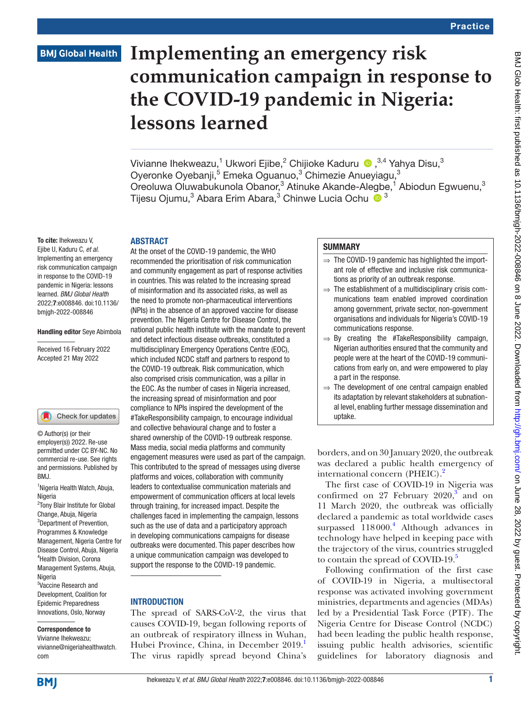# **BMJ Global Health**

# **Implementing an emergency risk communication campaign in response to the COVID-19 pandemic in Nigeria: lessons learned**

Vivianne Ihekweazu, $^1$  Ukwori Ejibe, $^2$  Chijioke Kaduru  $\,$   $\bullet$  , $^{3,4}$  Yahya Disu, $^3$ Oyeronke Oyebanji,<sup>5</sup> Emeka Oguanuo,<sup>3</sup> Chimezie Anueyiagu,<sup>3</sup> Oreoluwa Oluwabukunola Obanor,<sup>3</sup> Atinuke Akande-Alegbe,<sup>1</sup> Abiodun Egwuenu,<sup>3</sup> Tijesu Ojumu,3 Abara Erim Abara,3 Chinwe Lucia Ochu <sup>3</sup>

#### ABSTRACT

To cite: Ihekweazu V, Ejibe U, Kaduru C, *et al*. Implementing an emergency risk communication campaign in response to the COVID-19 pandemic in Nigeria: lessons learned. *BMJ Global Health* 2022;7:e008846. doi:10.1136/ bmjgh-2022-008846

#### Handling editor Seye Abimbola

Received 16 February 2022 Accepted 21 May 2022

#### Check for updates

© Author(s) (or their employer(s)) 2022. Re-use permitted under CC BY-NC. No commercial re-use. See rights and permissions. Published by BMJ.

1 Nigeria Health Watch, Abuja, Nigeria

<sup>2</sup>Tony Blair Institute for Global Change, Abuja, Nigeria <sup>3</sup>Department of Prevention, Programmes & Knowledge Management, Nigeria Centre for Disease Control, Abuja, Nigeria 4 Health Division, Corona Management Systems, Abuja, **Nigeria** 5 Vaccine Research and Development, Coalition for Epidemic Preparedness

#### Correspondence to

Innovations, Oslo, Norway

Vivianne Ihekweazu; vivianne@nigeriahealthwatch. com

At the onset of the COVID-19 pandemic, the WHO recommended the prioritisation of risk communication and community engagement as part of response activities in countries. This was related to the increasing spread of misinformation and its associated risks, as well as the need to promote non-pharmaceutical interventions (NPIs) in the absence of an approved vaccine for disease prevention. The Nigeria Centre for Disease Control, the national public health institute with the mandate to prevent and detect infectious disease outbreaks, constituted a multidisciplinary Emergency Operations Centre (EOC), which included NCDC staff and partners to respond to the COVID-19 outbreak. Risk communication, which also comprised crisis communication, was a pillar in the EOC. As the number of cases in Nigeria increased, the increasing spread of misinformation and poor compliance to NPIs inspired the development of the #TakeResponsibility campaign, to encourage individual and collective behavioural change and to foster a shared ownership of the COVID-19 outbreak response. Mass media, social media platforms and community engagement measures were used as part of the campaign. This contributed to the spread of messages using diverse platforms and voices, collaboration with community leaders to contextualise communication materials and empowerment of communication officers at local levels through training, for increased impact. Despite the challenges faced in implementing the campaign, lessons such as the use of data and a participatory approach in developing communications campaigns for disease outbreaks were documented. This paper describes how a unique communication campaign was developed to support the response to the COVID-19 pandemic.

#### **INTRODUCTION**

The spread of SARS-CoV-2, the virus that causes COVID-19, began following reports of an outbreak of respiratory illness in Wuhan, Hubei Province, China, in December 2019. The virus rapidly spread beyond China's

#### **SUMMARY**

- ⇒ The COVID-19 pandemic has highlighted the important role of effective and inclusive risk communications as priority of an outbreak response.
- $\Rightarrow$  The establishment of a multidisciplinary crisis communications team enabled improved coordination among government, private sector, non-government organisations and individuals for Nigeria's COVID-19 communications response.
- $\Rightarrow$  By creating the #TakeResponsibility campaign, Nigerian authorities ensured that the community and people were at the heart of the COVID-19 communications from early on, and were empowered to play a part in the response.
- $\Rightarrow$  The development of one central campaign enabled its adaptation by relevant stakeholders at subnational level, enabling further message dissemination and uptake.

borders, and on 30 January 2020, the outbreak was declared a public health emergency of international concern (PHEIC).<sup>2</sup>

The first case of COVID-19 in Nigeria was confirmed on 27 February  $2020$ ,<sup>[3](#page-5-0)</sup> and on 11 March 2020, the outbreak was officially declared a pandemic as total worldwide cases surpassed 118000.<sup>[4](#page-5-1)</sup> Although advances in technology have helped in keeping pace with the trajectory of the virus, countries struggled to contain the spread of COVID-19.<sup>[5](#page-5-2)</sup>

Following confirmation of the first case of COVID-19 in Nigeria, a multisectoral response was activated involving government ministries, departments and agencies (MDAs) led by a Presidential Task Force (PTF). The Nigeria Centre for Disease Control (NCDC) had been leading the public health response, issuing public health advisories, scientific guidelines for laboratory diagnosis and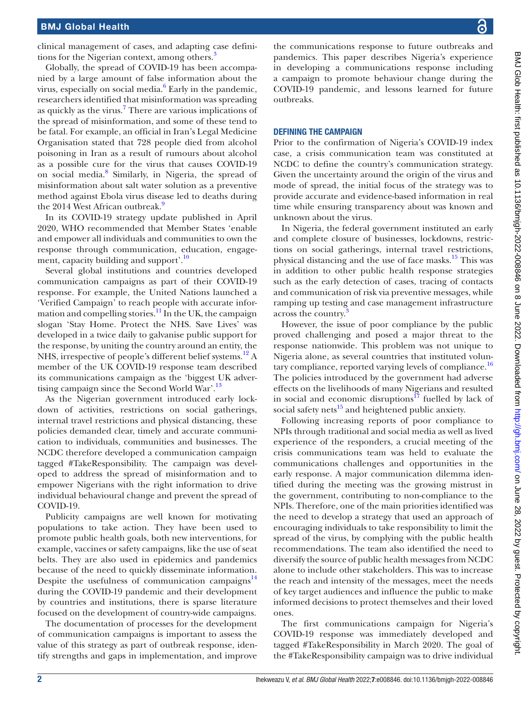clinical management of cases, and adapting case defini-tions for the Nigerian context, among others.<sup>[3](#page-5-0)</sup>

Globally, the spread of COVID-19 has been accompanied by a large amount of false information about the virus, especially on social media.<sup>[6](#page-5-3)</sup> Early in the pandemic, researchers identified that misinformation was spreading as quickly as the virus.<sup>[7](#page-5-4)</sup> There are various implications of the spread of misinformation, and some of these tend to be fatal. For example, an official in Iran's Legal Medicine Organisation stated that 728 people died from alcohol poisoning in Iran as a result of rumours about alcohol as a possible cure for the virus that causes COVID-19 on social media.<sup>[8](#page-5-5)</sup> Similarly, in Nigeria, the spread of misinformation about salt water solution as a preventive method against Ebola virus disease led to deaths during the 2014 West African outbreak.<sup>[9](#page-5-6)</sup>

In its COVID-19 strategy update published in April 2020, WHO recommended that Member States 'enable and empower all individuals and communities to own the response through communication, education, engagement, capacity building and support'[.10](#page-5-7)

Several global institutions and countries developed communication campaigns as part of their COVID-19 response. For example, the United Nations launched a 'Verified Campaign' to reach people with accurate information and compelling stories.<sup>11</sup> In the UK, the campaign slogan 'Stay Home. Protect the NHS. Save Lives' was developed in a twice daily to galvanise public support for the response, by uniting the country around an entity, the NHS, irrespective of people's different belief systems.<sup>12</sup> A member of the UK COVID-19 response team described its communications campaign as the 'biggest UK adver-tising campaign since the Second World War'.<sup>[13](#page-5-10)</sup>

As the Nigerian government introduced early lockdown of activities, restrictions on social gatherings, internal travel restrictions and physical distancing, these policies demanded clear, timely and accurate communication to individuals, communities and businesses. The NCDC therefore developed a communication campaign tagged #TakeResponsibility. The campaign was developed to address the spread of misinformation and to empower Nigerians with the right information to drive individual behavioural change and prevent the spread of COVID-19.

Publicity campaigns are well known for motivating populations to take action. They have been used to promote public health goals, both new interventions, for example, vaccines or safety campaigns, like the use of seat belts. They are also used in epidemics and pandemics because of the need to quickly disseminate information. Despite the usefulness of communication campaigns $^{14}$ during the COVID-19 pandemic and their development by countries and institutions, there is sparse literature focused on the development of country-wide campaigns.

The documentation of processes for the development of communication campaigns is important to assess the value of this strategy as part of outbreak response, identify strengths and gaps in implementation, and improve

the communications response to future outbreaks and pandemics. This paper describes Nigeria's experience in developing a communications response including a campaign to promote behaviour change during the COVID-19 pandemic, and lessons learned for future outbreaks.

#### DEFINING THE CAMPAIGN

Prior to the confirmation of Nigeria's COVID-19 index case, a crisis communication team was constituted at NCDC to define the country's communication strategy. Given the uncertainty around the origin of the virus and mode of spread, the initial focus of the strategy was to provide accurate and evidence-based information in real time while ensuring transparency about was known and unknown about the virus.

In Nigeria, the federal government instituted an early and complete closure of businesses, lockdowns, restrictions on social gatherings, internal travel restrictions, physical distancing and the use of face masks.<sup>15</sup> This was in addition to other public health response strategies such as the early detection of cases, tracing of contacts and communication of risk via preventive messages, while ramping up testing and case management infrastructure across the country.

However, the issue of poor compliance by the public proved challenging and posed a major threat to the response nationwide. This problem was not unique to Nigeria alone, as several countries that instituted voluntary compliance, reported varying levels of compliance.<sup>16</sup> The policies introduced by the government had adverse effects on the livelihoods of many Nigerians and resulted in social and economic disruptions $17$  fuelled by lack of social safety nets $^{15}$  and heightened public anxiety.

Following increasing reports of poor compliance to NPIs through traditional and social media as well as lived experience of the responders, a crucial meeting of the crisis communications team was held to evaluate the communications challenges and opportunities in the early response. A major communication dilemma identified during the meeting was the growing mistrust in the government, contributing to non-compliance to the NPIs. Therefore, one of the main priorities identified was the need to develop a strategy that used an approach of encouraging individuals to take responsibility to limit the spread of the virus, by complying with the public health recommendations. The team also identified the need to diversify the source of public health messages from NCDC alone to include other stakeholders. This was to increase the reach and intensity of the messages, meet the needs of key target audiences and influence the public to make informed decisions to protect themselves and their loved ones.

The first communications campaign for Nigeria's COVID-19 response was immediately developed and tagged #TakeResponsibility in March 2020. The goal of the #TakeResponsibility campaign was to drive individual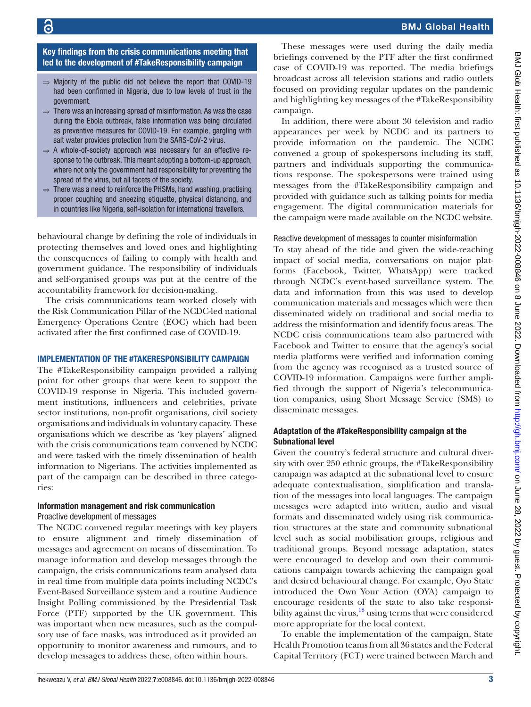#### Key findings from the crisis communications meeting that led to the development of #TakeResponsibility campaign

- $\Rightarrow$  Majority of the public did not believe the report that COVID-19 had been confirmed in Nigeria, due to low levels of trust in the government.
- ⇒ There was an increasing spread of misinformation. As was the case during the Ebola outbreak, false information was being circulated as preventive measures for COVID-19. For example, gargling with salt water provides protection from the SARS-CoV-2 virus.
- ⇒ A whole-of-society approach was necessary for an effective response to the outbreak. This meant adopting a bottom-up approach, where not only the government had responsibility for preventing the spread of the virus, but all facets of the society.
- ⇒ There was a need to reinforce the PHSMs, hand washing, practising proper coughing and sneezing etiquette, physical distancing, and in countries like Nigeria, self-isolation for international travellers.

behavioural change by defining the role of individuals in protecting themselves and loved ones and highlighting the consequences of failing to comply with health and government guidance. The responsibility of individuals and self-organised groups was put at the centre of the accountability framework for decision-making.

The crisis communications team worked closely with the Risk Communication Pillar of the NCDC-led national Emergency Operations Centre (EOC) which had been activated after the first confirmed case of COVID-19.

#### IMPLEMENTATION OF THE #TAKERESPONSIBILITY CAMPAIGN

The #TakeResponsibility campaign provided a rallying point for other groups that were keen to support the COVID-19 response in Nigeria. This included government institutions, influencers and celebrities, private sector institutions, non-profit organisations, civil society organisations and individuals in voluntary capacity. These organisations which we describe as 'key players' aligned with the crisis communications team convened by NCDC and were tasked with the timely dissemination of health information to Nigerians. The activities implemented as part of the campaign can be described in three categories:

# Information management and risk communication

Proactive development of messages

The NCDC convened regular meetings with key players to ensure alignment and timely dissemination of messages and agreement on means of dissemination. To manage information and develop messages through the campaign, the crisis communications team analysed data in real time from multiple data points including NCDC's Event-Based Surveillance system and a routine Audience Insight Polling commissioned by the Presidential Task Force (PTF) supported by the UK government. This was important when new measures, such as the compulsory use of face masks, was introduced as it provided an opportunity to monitor awareness and rumours, and to develop messages to address these, often within hours.

These messages were used during the daily media briefings convened by the PTF after the first confirmed case of COVID-19 was reported. The media briefings broadcast across all television stations and radio outlets focused on providing regular updates on the pandemic and highlighting key messages of the #TakeResponsibility campaign.

In addition, there were about 30 television and radio appearances per week by NCDC and its partners to provide information on the pandemic. The NCDC convened a group of spokespersons including its staff, partners and individuals supporting the communications response. The spokespersons were trained using messages from the #TakeResponsibility campaign and provided with guidance such as talking points for media engagement. The digital communication materials for the campaign were made available on the NCDC website.

Reactive development of messages to counter misinformation

To stay ahead of the tide and given the wide-reaching impact of social media, conversations on major platforms (Facebook, Twitter, WhatsApp) were tracked through NCDC's event-based surveillance system. The data and information from this was used to develop communication materials and messages which were then disseminated widely on traditional and social media to address the misinformation and identify focus areas. The NCDC crisis communications team also partnered with Facebook and Twitter to ensure that the agency's social media platforms were verified and information coming from the agency was recognised as a trusted source of COVID-19 information. Campaigns were further amplified through the support of Nigeria's telecommunication companies, using Short Message Service (SMS) to disseminate messages.

# Adaptation of the #TakeResponsibility campaign at the Subnational level

Given the country's federal structure and cultural diversity with over 250 ethnic groups, the #TakeResponsibility campaign was adapted at the subnational level to ensure adequate contextualisation, simplification and translation of the messages into local languages. The campaign messages were adapted into written, audio and visual formats and disseminated widely using risk communication structures at the state and community subnational level such as social mobilisation groups, religious and traditional groups. Beyond message adaptation, states were encouraged to develop and own their communications campaign towards achieving the campaign goal and desired behavioural change. For example, Oyo State introduced the Own Your Action (OYA) campaign to encourage residents of the state to also take responsi-bility against the virus,<sup>[18](#page-5-15)</sup> using terms that were considered more appropriate for the local context.

To enable the implementation of the campaign, State Health Promotion teams from all 36 states and the Federal Capital Territory (FCT) were trained between March and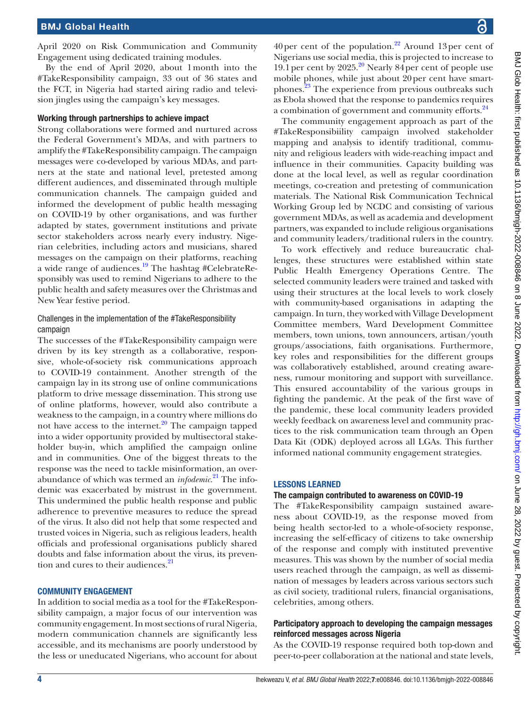April 2020 on Risk Communication and Community Engagement using dedicated training modules.

By the end of April 2020, about 1month into the #TakeResponsibility campaign, 33 out of 36 states and the FCT, in Nigeria had started airing radio and television jingles using the campaign's key messages.

#### Working through partnerships to achieve impact

Strong collaborations were formed and nurtured across the Federal Government's MDAs, and with partners to amplify the #TakeResponsibility campaign. The campaign messages were co-developed by various MDAs, and partners at the state and national level, pretested among different audiences, and disseminated through multiple communication channels. The campaign guided and informed the development of public health messaging on COVID-19 by other organisations, and was further adapted by states, government institutions and private sector stakeholders across nearly every industry. Nigerian celebrities, including actors and musicians, shared messages on the campaign on their platforms, reaching a wide range of audiences.[19](#page-5-16) The hashtag #CelebrateResponsibly was used to remind Nigerians to adhere to the public health and safety measures over the Christmas and New Year festive period.

# Challenges in the implementation of the #TakeResponsibility campaign

The successes of the #TakeResponsibility campaign were driven by its key strength as a collaborative, responsive, whole-of-society risk communications approach to COVID-19 containment. Another strength of the campaign lay in its strong use of online communications platform to drive message dissemination. This strong use of online platforms, however, would also contribute a weakness to the campaign, in a country where millions do not have access to the internet. $20$  The campaign tapped into a wider opportunity provided by multisectoral stakeholder buy-in, which amplified the campaign online and in communities. One of the biggest threats to the response was the need to tackle misinformation, an overabundance of which was termed an *infodemic*. [21](#page-5-18) The infodemic was exacerbated by mistrust in the government. This undermined the public health response and public adherence to preventive measures to reduce the spread of the virus. It also did not help that some respected and trusted voices in Nigeria, such as religious leaders, health officials and professional organisations publicly shared doubts and false information about the virus, its prevention and cures to their audiences.<sup>21</sup>

#### COMMUNITY ENGAGEMENT

In addition to social media as a tool for the #TakeResponsibility campaign, a major focus of our intervention was community engagement. In most sections of rural Nigeria, modern communication channels are significantly less accessible, and its mechanisms are poorly understood by the less or uneducated Nigerians, who account for about

The community engagement approach as part of the #TakeResponsibiility campaign involved stakeholder mapping and analysis to identify traditional, community and religious leaders with wide-reaching impact and influence in their communities. Capacity building was done at the local level, as well as regular coordination meetings, co-creation and pretesting of communication materials. The National Risk Communication Technical Working Group led by NCDC and consisting of various government MDAs, as well as academia and development partners, was expanded to include religious organisations and community leaders/traditional rulers in the country.

To work effectively and reduce bureaucratic challenges, these structures were established within state Public Health Emergency Operations Centre. The selected community leaders were trained and tasked with using their structures at the local levels to work closely with community-based organisations in adapting the campaign. In turn, they worked with Village Development Committee members, Ward Development Committee members, town unions, town announcers, artisan/youth groups/associations, faith organisations. Furthermore, key roles and responsibilities for the different groups was collaboratively established, around creating awareness, rumour monitoring and support with surveillance. This ensured accountability of the various groups in fighting the pandemic. At the peak of the first wave of the pandemic, these local community leaders provided weekly feedback on awareness level and community practices to the risk communication team through an Open Data Kit (ODK) deployed across all LGAs. This further informed national community engagement strategies.

#### LESSONS LEARNED

#### The campaign contributed to awareness on COVID-19

The #TakeResponsibility campaign sustained awareness about COVID-19, as the response moved from being health sector-led to a whole-of-society response, increasing the self-efficacy of citizens to take ownership of the response and comply with instituted preventive measures. This was shown by the number of social media users reached through the campaign, as well as dissemination of messages by leaders across various sectors such as civil society, traditional rulers, financial organisations, celebrities, among others.

# Participatory approach to developing the campaign messages reinforced messages across Nigeria

As the COVID-19 response required both top-down and peer-to-peer collaboration at the national and state levels,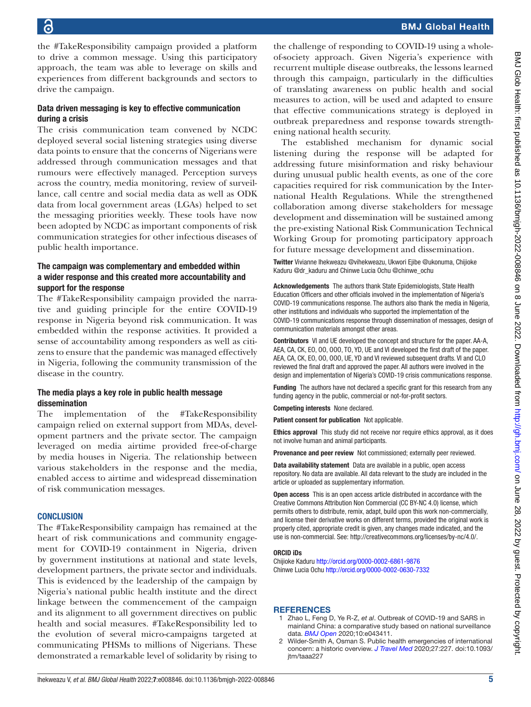the #TakeResponsibility campaign provided a platform to drive a common message. Using this participatory approach, the team was able to leverage on skills and experiences from different backgrounds and sectors to drive the campaign.

#### Data driven messaging is key to effective communication during a crisis

The crisis communication team convened by NCDC deployed several social listening strategies using diverse data points to ensure that the concerns of Nigerians were addressed through communication messages and that rumours were effectively managed. Perception surveys across the country, media monitoring, review of surveillance, call centre and social media data as well as ODK data from local government areas (LGAs) helped to set the messaging priorities weekly. These tools have now been adopted by NCDC as important components of risk communication strategies for other infectious diseases of public health importance.

# The campaign was complementary and embedded within a wider response and this created more accountability and support for the response

The #TakeResponsibility campaign provided the narrative and guiding principle for the entire COVID-19 response in Nigeria beyond risk communication. It was embedded within the response activities. It provided a sense of accountability among responders as well as citizens to ensure that the pandemic was managed effectively in Nigeria, following the community transmission of the disease in the country.

#### The media plays a key role in public health message dissemination

The implementation of the #TakeResponsibility campaign relied on external support from MDAs, development partners and the private sector. The campaign leveraged on media airtime provided free-of-charge by media houses in Nigeria. The relationship between various stakeholders in the response and the media, enabled access to airtime and widespread dissemination of risk communication messages.

#### **CONCLUSION**

The #TakeResponsibility campaign has remained at the heart of risk communications and community engagement for COVID-19 containment in Nigeria, driven by government institutions at national and state levels, development partners, the private sector and individuals. This is evidenced by the leadership of the campaign by Nigeria's national public health institute and the direct linkage between the commencement of the campaign and its alignment to all government directives on public health and social measures. #TakeResponsibility led to the evolution of several micro-campaigns targeted at communicating PHSMs to millions of Nigerians. These demonstrated a remarkable level of solidarity by rising to

the challenge of responding to COVID-19 using a wholeof-society approach. Given Nigeria's experience with recurrent multiple disease outbreaks, the lessons learned through this campaign, particularly in the difficulties of translating awareness on public health and social measures to action, will be used and adapted to ensure that effective communications strategy is deployed in outbreak preparedness and response towards strengthening national health security.

The established mechanism for dynamic social listening during the response will be adapted for addressing future misinformation and risky behaviour during unusual public health events, as one of the core capacities required for risk communication by the International Health Regulations. While the strengthened collaboration among diverse stakeholders for message development and dissemination will be sustained among the pre-existing National Risk Communication Technical Working Group for promoting participatory approach for future message development and dissemination.

Twitter Vivianne Ihekweazu [@vihekweazu](https://twitter.com/vihekweazu), Ukwori Ejibe [@ukonuma,](https://twitter.com/ukonuma) Chijioke Kaduru [@dr\\_kaduru](https://twitter.com/dr_kaduru) and Chinwe Lucia Ochu [@chinwe\\_ochu](https://twitter.com/chinwe_ochu)

Acknowledgements The authors thank State Epidemiologists, State Health Education Officers and other officials involved in the implementation of Nigeria's COVID-19 communications response. The authors also thank the media in Nigeria, other institutions and individuals who supported the implementation of the COVID-19 communications response through dissemination of messages, design of communication materials amongst other areas.

Contributors VI and UE developed the concept and structure for the paper. AA-A, AEA, CA, CK, EO, OO, OOO, TO, YD, UE and VI developed the first draft of the paper. AEA, CA, CK, EO, OO, OOO, UE, YD and VI reviewed subsequent drafts. VI and CLO reviewed the final draft and approved the paper. All authors were involved in the design and implementation of Nigeria's COVID-19 crisis communications response.

Funding The authors have not declared a specific grant for this research from any funding agency in the public, commercial or not-for-profit sectors.

Competing interests None declared.

Patient consent for publication Not applicable.

Ethics approval This study did not receive nor require ethics approval, as it does not involve human and animal participants.

Provenance and peer review Not commissioned; externally peer reviewed.

Data availability statement Data are available in a public, open access repository. No data are available. All data relevant to the study are included in the article or uploaded as supplementary information.

Open access This is an open access article distributed in accordance with the Creative Commons Attribution Non Commercial (CC BY-NC 4.0) license, which permits others to distribute, remix, adapt, build upon this work non-commercially, and license their derivative works on different terms, provided the original work is properly cited, appropriate credit is given, any changes made indicated, and the use is non-commercial. See:<http://creativecommons.org/licenses/by-nc/4.0/>.

#### ORCID iDs

Chijioke Kaduru<http://orcid.org/0000-0002-6861-9876> Chinwe Lucia Ochu <http://orcid.org/0000-0002-0630-7332>

#### **REFERENCES**

- <span id="page-4-0"></span>1 Zhao L, Feng D, Ye R-Z, *et al*. Outbreak of COVID-19 and SARS in mainland China: a comparative study based on national surveillance data. *[BMJ Open](http://dx.doi.org/10.1136/bmjopen-2020-043411)* 2020;10:e043411.
- <span id="page-4-1"></span>2 Wilder-Smith A, Osman S. Public health emergencies of international concern: a historic overview. *[J Travel Med](http://dx.doi.org/10.1093/jtm/taaa227)* 2020;27:227. doi:10.1093/ jtm/taaa227